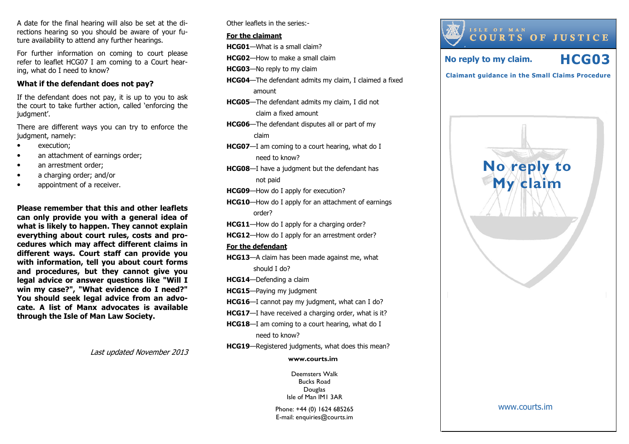A date for the final hearing will also be set at the directions hearing so you should be aware of your future availability to attend any further hearings.

For further information on coming to court please refer to leaflet HCG07 I am coming to a Court hearing, what do I need to know?

#### What if the defendant does not pay?

If the defendant does not pay, it is up to you to ask the court to take further action, called 'enforcing the judgment'.

There are different ways you can try to enforce thejudgment, namely:

- execution;
- an attachment of earnings order;
- an arrestment order;
- a charging order; and/or
- appointment of a receiver.

Please remember that this and other leaflets can only provide you with a general idea of what is likely to happen. They cannot explain everything about court rules, costs and procedures which may affect different claims in different ways. Court staff can provide you with information, tell you about court forms and procedures, but they cannot give you legal advice or answer questions like "Will I win my case?", "What evidence do I need?" You should seek legal advice from an advocate. A list of Manx advocates is available through the Isle of Man Law Society.

Last updated November 2013

Other leaflets in the series:-

#### For the claimant

HCG01—What is a small claim?

- HCG02—How to make a small claim
- **HCG03**—No reply to my claim
- HCG04—The defendant admits my claim, I claimed a fixed amount
- HCG05—The defendant admits my claim, I did not claim a fixed amount
- HCG06—The defendant disputes all or part of my claim
- HCG07—I am coming to a court hearing, what do I need to know?
- **HCG08**—I have a judgment but the defendant has not paid
- HCG09—How do I apply for execution?
- HCG10—How do I apply for an attachment of earnings order?
- HCG11—How do I apply for a charging order?
- HCG12-How do I apply for an arrestment order?

#### For the defendant

- HCG13—A claim has been made against me, what should I do?
- HCG14—Defending a claim
- HCG15—Paying my judgment
- HCG16—I cannot pay my judgment, what can I do?
- HCG17-I have received a charging order, what is it?
- HCG18—I am coming to a court hearing, what do I need to know?
- HCG19—Registered judgments, what does this mean?

#### www.courts.im

Deemsters Walk Bucks Road Douglas Isle of Man IM1 3AR

Phone: +44 (0) 1624 685265 E-mail: enquiries@courts.im



www.courts.im